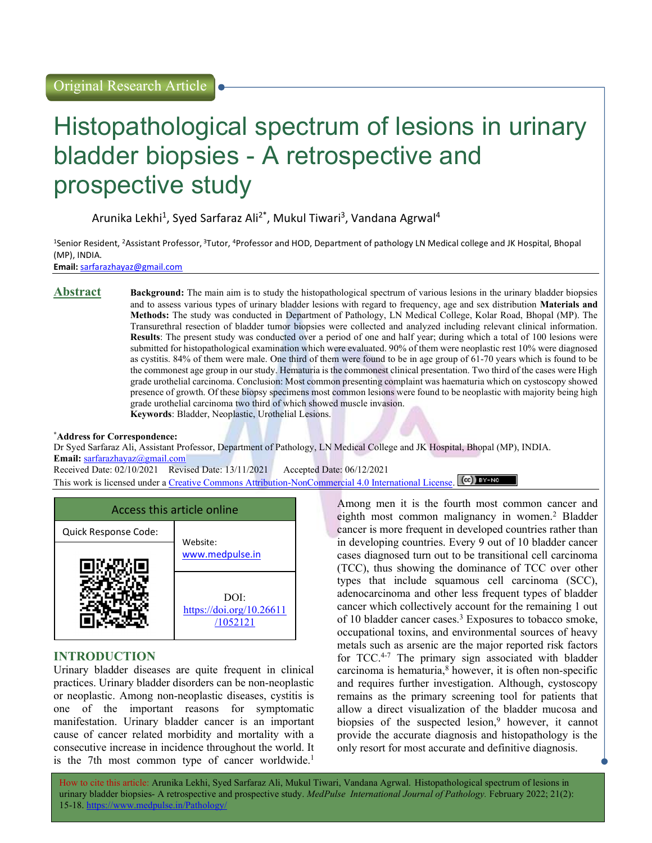# Histopathological spectrum of lesions in urinary bladder biopsies - A retrospective and prospective study

Arunika Lekhi<sup>1</sup>, Syed Sarfaraz Ali<sup>2\*</sup>, Mukul Tiwari<sup>3</sup>, Vandana Agrwal<sup>4</sup>

<sup>1</sup>Senior Resident, <sup>2</sup>Assistant Professor,<sup>3</sup>Tutor, <sup>4</sup>Professor and HOD, Department of pathology LN Medical college and JK Hospital, Bhopal (MP), INDIA.

Email: sarfarazhayaz@gmail.com

Abstract Background: The main aim is to study the histopathological spectrum of various lesions in the urinary bladder biopsies and to assess various types of urinary bladder lesions with regard to frequency, age and sex distribution Materials and Methods: The study was conducted in Department of Pathology, LN Medical College, Kolar Road, Bhopal (MP). The Transurethral resection of bladder tumor biopsies were collected and analyzed including relevant clinical information. Results: The present study was conducted over a period of one and half year; during which a total of 100 lesions were submitted for histopathological examination which were evaluated. 90% of them were neoplastic rest 10% were diagnosed as cystitis. 84% of them were male. One third of them were found to be in age group of 61-70 years which is found to be the commonest age group in our study. Hematuria is the commonest clinical presentation. Two third of the cases were High grade urothelial carcinoma. Conclusion: Most common presenting complaint was haematuria which on cystoscopy showed presence of growth. Of these biopsy specimens most common lesions were found to be neoplastic with majority being high grade urothelial carcinoma two third of which showed muscle invasion. Keywords: Bladder, Neoplastic, Urothelial Lesions.

### \*Address for Correspondence:

Dr Syed Sarfaraz Ali, Assistant Professor, Department of Pathology, LN Medical College and JK Hospital, Bhopal (MP), INDIA. Email: sarfarazhayaz@gmail.com

Received Date: 02/10/2021 Revised Date: 13/11/2021 Accepted Date: 06/12/2021

This work is licensed under a Creative Commons Attribution-NonCommercial 4.0 International License. (CC) BY-NO



# INTRODUCTION

Urinary bladder diseases are quite frequent in clinical practices. Urinary bladder disorders can be non-neoplastic or neoplastic. Among non-neoplastic diseases, cystitis is one of the important reasons for symptomatic manifestation. Urinary bladder cancer is an important cause of cancer related morbidity and mortality with a consecutive increase in incidence throughout the world. It is the 7th most common type of cancer worldwide.<sup>1</sup> Among men it is the fourth most common cancer and eighth most common malignancy in women.<sup>2</sup> Bladder cancer is more frequent in developed countries rather than in developing countries. Every 9 out of 10 bladder cancer cases diagnosed turn out to be transitional cell carcinoma (TCC), thus showing the dominance of TCC over other types that include squamous cell carcinoma (SCC), adenocarcinoma and other less frequent types of bladder cancer which collectively account for the remaining 1 out of 10 bladder cancer cases.<sup>3</sup> Exposures to tobacco smoke, occupational toxins, and environmental sources of heavy metals such as arsenic are the major reported risk factors for TCC.<sup>4-7</sup> The primary sign associated with bladder carcinoma is hematuria,<sup>8</sup> however, it is often non-specific and requires further investigation. Although, cystoscopy remains as the primary screening tool for patients that allow a direct visualization of the bladder mucosa and biopsies of the suspected lesion,<sup>9</sup> however, it cannot provide the accurate diagnosis and histopathology is the only resort for most accurate and definitive diagnosis.

How to cite this article: Arunika Lekhi, Syed Sarfaraz Ali, Mukul Tiwari, Vandana Agrwal. Histopathological spectrum of lesions in urinary bladder biopsies- A retrospective and prospective study. MedPulse International Journal of Pathology. February 2022; 21(2): 15-18. https://www.medpulse.in/Pathology/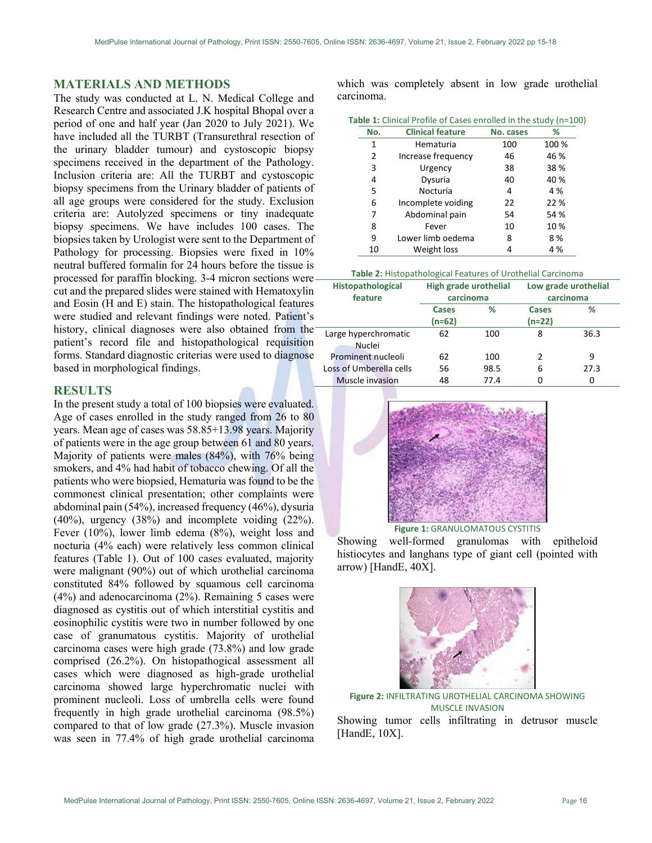## MATERIALS AND METHODS

The study was conducted at L. N. Medical College and Research Centre and associated J.K hospital Bhopal over a period of one and half year (Jan 2020 to July 2021). We have included all the TURBT (Transurethral resection of the urinary bladder tumour) and cystoscopic biopsy specimens received in the department of the Pathology. Inclusion criteria are: All the TURBT and cystoscopic biopsy specimens from the Urinary bladder of patients of all age groups were considered for the study. Exclusion criteria are: Autolyzed specimens or tiny inadequate biopsy specimens. We have includes 100 cases. The biopsies taken by Urologist were sent to the Department of Pathology for processing. Biopsies were fixed in 10% neutral buffered formalin for 24 hours before the tissue is processed for paraffin blocking. 3-4 micron sections were cut and the prepared slides were stained with Hematoxylin and Eosin (H and E) stain. The histopathological features were studied and relevant findings were noted. Patient's history, clinical diagnoses were also obtained from the patient's record file and histopathological requisition forms. Standard diagnostic criterias were used to diagnose based in morphological findings.

## RESULTS

In the present study a total of 100 biopsies were evaluated. Age of cases enrolled in the study ranged from 26 to 80 years. Mean age of cases was 58.85+13.98 years. Majority of patients were in the age group between 61 and 80 years. Majority of patients were males (84%), with 76% being smokers, and 4% had habit of tobacco chewing. Of all the patients who were biopsied, Hematuria was found to be the commonest clinical presentation; other complaints were abdominal pain (54%), increased frequency (46%), dysuria (40%), urgency (38%) and incomplete voiding (22%). Fever (10%), lower limb edema (8%), weight loss and nocturia (4% each) were relatively less common clinical features (Table 1). Out of 100 cases evaluated, majority were malignant (90%) out of which urothelial carcinoma constituted 84% followed by squamous cell carcinoma (4%) and adenocarcinoma (2%). Remaining 5 cases were diagnosed as cystitis out of which interstitial cystitis and eosinophilic cystitis were two in number followed by one case of granumatous cystitis. Majority of urothelial carcinoma cases were high grade (73.8%) and low grade comprised (26.2%). On histopathogical assessment all cases which were diagnosed as high-grade urothelial carcinoma showed large hyperchromatic nuclei with prominent nucleoli. Loss of umbrella cells were found frequently in high grade urothelial carcinoma (98.5%) compared to that of low grade (27.3%). Muscle invasion was seen in 77.4% of high grade urothelial carcinoma

which was completely absent in low grade urothelial carcinoma.

| Table 1: Clinical Profile of Cases enrolled in the study (n=100) |  |  |  |
|------------------------------------------------------------------|--|--|--|
|------------------------------------------------------------------|--|--|--|

| <b>Clinical feature</b> | No. cases | %     |
|-------------------------|-----------|-------|
| Hematuria               | 100       | 100 % |
| Increase frequency      | 46        | 46 %  |
| Urgency                 | 38        | 38 %  |
| Dysuria                 | 40        | 40%   |
| Nocturia                | 4         | 4 %   |
| Incomplete voiding      | 22        | 22 %  |
| Abdominal pain          | 54        | 54 %  |
| Fever                   | 10        | 10%   |
| Lower limb oedema       | 8         | 8%    |
| Weight loss             | 4         | 4 %   |
|                         |           |       |

| <b>Histopathological</b><br>feature | High grade urothelial<br>carcinoma |      | Low grade urothelial<br>carcinoma |      |
|-------------------------------------|------------------------------------|------|-----------------------------------|------|
|                                     | Cases                              | ℅    | Cases                             | ℅    |
|                                     | (n=62)                             |      | $(n=22)$                          |      |
| Large hyperchromatic                | 62                                 | 100  | 8                                 | 36.3 |
| Nuclei                              |                                    |      |                                   |      |
| Prominent nucleoli                  | 62                                 | 100  | 2                                 | 9    |
| Loss of Umberella cells             | 56                                 | 98.5 | 6                                 | 27.3 |
| Muscle invasion                     | 48                                 | 77.4 |                                   | 0    |



Figure 1: GRANULOMATOUS CYSTITIS

Showing well-formed granulomas with epitheloid histiocytes and langhans type of giant cell (pointed with arrow) [HandE, 40X].



Figure 2: INFILTRATING UROTHELIAL CARCINOMA SHOWING MUSCLE INVASION

Showing tumor cells infiltrating in detrusor muscle [HandE, 10X].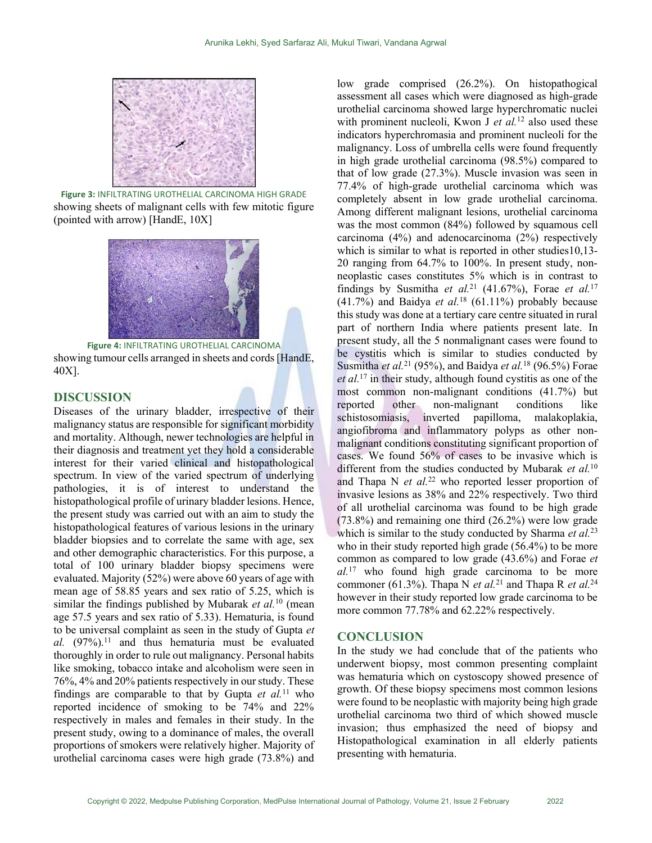

Figure 3: INFILTRATING UROTHELIAL CARCINOMA HIGH GRADE showing sheets of malignant cells with few mitotic figure (pointed with arrow) [HandE, 10X]



Figure 4: INFILTRATING UROTHELIAL CARCINOMA showing tumour cells arranged in sheets and cords [HandE, 40X].

# DISCUSSION

Diseases of the urinary bladder, irrespective of their malignancy status are responsible for significant morbidity and mortality. Although, newer technologies are helpful in their diagnosis and treatment yet they hold a considerable interest for their varied clinical and histopathological spectrum. In view of the varied spectrum of underlying pathologies, it is of interest to understand the histopathological profile of urinary bladder lesions. Hence, the present study was carried out with an aim to study the histopathological features of various lesions in the urinary bladder biopsies and to correlate the same with age, sex and other demographic characteristics. For this purpose, a total of 100 urinary bladder biopsy specimens were evaluated. Majority (52%) were above 60 years of age with mean age of 58.85 years and sex ratio of 5.25, which is similar the findings published by Mubarak *et al.*<sup>10</sup> (mean age 57.5 years and sex ratio of 5.33). Hematuria, is found to be universal complaint as seen in the study of Gupta et al.  $(97%)$ .<sup>11</sup> and thus hematuria must be evaluated thoroughly in order to rule out malignancy. Personal habits like smoking, tobacco intake and alcoholism were seen in 76%, 4% and 20% patients respectively in our study. These findings are comparable to that by Gupta et  $al$ <sup>11</sup> who reported incidence of smoking to be 74% and 22% respectively in males and females in their study. In the present study, owing to a dominance of males, the overall proportions of smokers were relatively higher. Majority of urothelial carcinoma cases were high grade (73.8%) and

low grade comprised (26.2%). On histopathogical assessment all cases which were diagnosed as high-grade urothelial carcinoma showed large hyperchromatic nuclei with prominent nucleoli, Kwon J et  $al$ <sup>12</sup> also used these indicators hyperchromasia and prominent nucleoli for the malignancy. Loss of umbrella cells were found frequently in high grade urothelial carcinoma (98.5%) compared to that of low grade (27.3%). Muscle invasion was seen in 77.4% of high-grade urothelial carcinoma which was completely absent in low grade urothelial carcinoma. Among different malignant lesions, urothelial carcinoma was the most common (84%) followed by squamous cell carcinoma (4%) and adenocarcinoma (2%) respectively which is similar to what is reported in other studies 10,13-20 ranging from 64.7% to 100%. In present study, nonneoplastic cases constitutes 5% which is in contrast to findings by Susmitha et al.<sup>21</sup> (41.67%), Forae et al.<sup>17</sup> (41.7%) and Baidya et al.<sup>18</sup> (61.11%) probably because this study was done at a tertiary care centre situated in rural part of northern India where patients present late. In present study, all the 5 nonmalignant cases were found to be cystitis which is similar to studies conducted by Susmitha et al.<sup>21</sup> (95%), and Baidya et al.<sup>18</sup> (96.5%) Forae  $et al.<sup>17</sup>$  in their study, although found cystitis as one of the most common non-malignant conditions (41.7%) but reported other non-malignant conditions like schistosomiasis, inverted papilloma, malakoplakia, angiofibroma and inflammatory polyps as other nonmalignant conditions constituting significant proportion of cases. We found 56% of cases to be invasive which is different from the studies conducted by Mubarak et  $al$ .<sup>10</sup> and Thapa N  $et$  al.<sup>22</sup> who reported lesser proportion of invasive lesions as 38% and 22% respectively. Two third of all urothelial carcinoma was found to be high grade (73.8%) and remaining one third (26.2%) were low grade which is similar to the study conducted by Sharma et  $al$ .<sup>23</sup> who in their study reported high grade (56.4%) to be more common as compared to low grade (43.6%) and Forae et  $al.17$  who found high grade carcinoma to be more commoner (61.3%). Thapa N et al.<sup>21</sup> and Thapa R et al.<sup>24</sup> however in their study reported low grade carcinoma to be more common 77.78% and 62.22% respectively.

### CONCLUSION

In the study we had conclude that of the patients who underwent biopsy, most common presenting complaint was hematuria which on cystoscopy showed presence of growth. Of these biopsy specimens most common lesions were found to be neoplastic with majority being high grade urothelial carcinoma two third of which showed muscle invasion; thus emphasized the need of biopsy and Histopathological examination in all elderly patients presenting with hematuria.